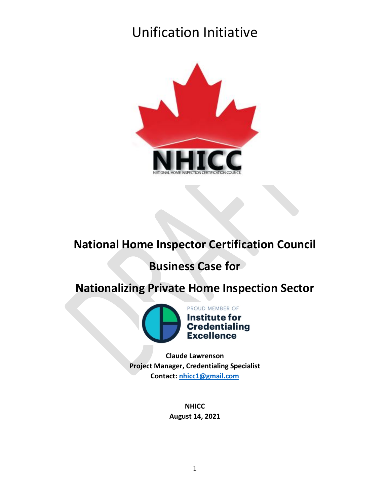

### **National Home Inspector Certification Council**

### **Business Case for**

### **Nationalizing Private Home Inspection Sector**



**Claude Lawrenson Project Manager, Credentialing Specialist Contact: [nhicc1@gmail.com](mailto:nhicc1@gmail.com)**

> **NHICC August 14, 2021**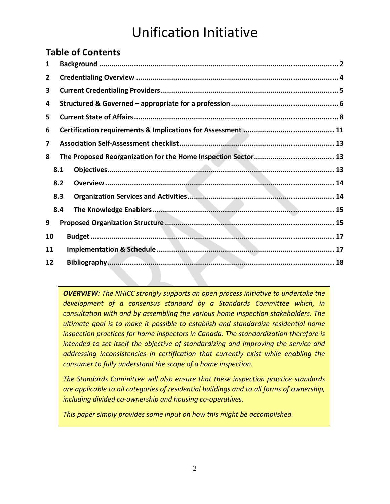### **Table of Contents**

| 1  |     |  |  |  |  |
|----|-----|--|--|--|--|
| 2  |     |  |  |  |  |
| 3  |     |  |  |  |  |
| 4  |     |  |  |  |  |
| 5. |     |  |  |  |  |
| 6  |     |  |  |  |  |
| 7  |     |  |  |  |  |
| 8  |     |  |  |  |  |
|    | 8.1 |  |  |  |  |
|    | 8.2 |  |  |  |  |
|    | 8.3 |  |  |  |  |
|    | 8.4 |  |  |  |  |
| 9  |     |  |  |  |  |
| 10 |     |  |  |  |  |
| 11 |     |  |  |  |  |
| 12 |     |  |  |  |  |

*OVERVIEW: The NHICC strongly supports an open process initiative to undertake the development of a consensus standard by a Standards Committee which, in consultation with and by assembling the various home inspection stakeholders. The ultimate goal is to make it possible to establish and standardize residential home inspection practices for home inspectors in Canada. The standardization therefore is intended to set itself the objective of standardizing and improving the service and addressing inconsistencies in certification that currently exist while enabling the consumer to fully understand the scope of a home inspection.* 

*The Standards Committee will also ensure that these inspection practice standards are applicable to all categories of residential buildings and to all forms of ownership, including divided co-ownership and housing co-operatives.*

*This paper simply provides some input on how this might be accomplished.*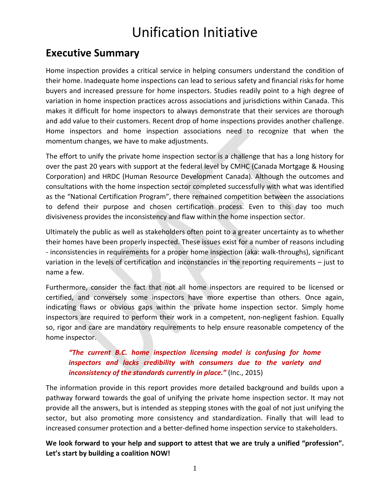### **Executive Summary**

Home inspection provides a critical service in helping consumers understand the condition of their home. Inadequate home inspections can lead to serious safety and financial risks for home buyers and increased pressure for home inspectors. Studies readily point to a high degree of variation in home inspection practices across associations and jurisdictions within Canada. This makes it difficult for home inspectors to always demonstrate that their services are thorough and add value to their customers. Recent drop of home inspections provides another challenge. Home inspectors and home inspection associations need to recognize that when the momentum changes, we have to make adjustments.

The effort to unify the private home inspection sector is a challenge that has a long history for over the past 20 years with support at the federal level by CMHC (Canada Mortgage & Housing Corporation) and HRDC (Human Resource Development Canada). Although the outcomes and consultations with the home inspection sector completed successfully with what was identified as the "National Certification Program", there remained competition between the associations to defend their purpose and chosen certification process. Even to this day too much divisiveness provides the inconsistency and flaw within the home inspection sector.

Ultimately the public as well as stakeholders often point to a greater uncertainty as to whether their homes have been properly inspected. These issues exist for a number of reasons including - inconsistencies in requirements for a proper home inspection (aka: walk-throughs), significant variation in the levels of certification and inconstancies in the reporting requirements – just to name a few.

Furthermore, consider the fact that not all home inspectors are required to be licensed or certified, and conversely some inspectors have more expertise than others. Once again, indicating flaws or obvious gaps within the private home inspection sector. Simply home inspectors are required to perform their work in a competent, non-negligent fashion. Equally so, rigor and care are mandatory requirements to help ensure reasonable competency of the home inspector.

#### *"The current B.C. home inspection licensing model is confusing for home inspectors and lacks credibility with consumers due to the variety and inconsistency of the standards currently in place."* (Inc., 2015)

The information provide in this report provides more detailed background and builds upon a pathway forward towards the goal of unifying the private home inspection sector. It may not provide all the answers, but is intended as stepping stones with the goal of not just unifying the sector, but also promoting more consistency and standardization. Finally that will lead to increased consumer protection and a better-defined home inspection service to stakeholders.

#### **We look forward to your help and support to attest that we are truly a unified "profession". Let's start by building a coalition NOW!**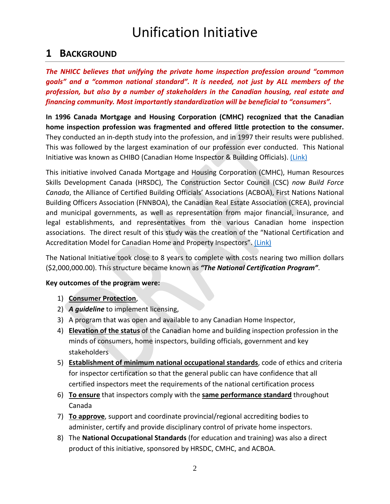### <span id="page-3-0"></span>**1 BACKGROUND**

*The NHICC believes that unifying the private home inspection profession around "common goals" and a "common national standard". It is needed, not just by ALL members of the profession, but also by a number of stakeholders in the Canadian housing, real estate and financing community. Most importantly standardization will be beneficial to "consumers".*

**In 1996 Canada Mortgage and Housing Corporation (CMHC) recognized that the Canadian home inspection profession was fragmented and offered little protection to the consumer.** They conducted an in-depth study into the profession, and in 1997 their results were published. This was followed by the largest examination of our profession ever conducted. This National Initiative was known as CHIBO (Canadian Home Inspector & Building Officials). [\(Link\)](http://www.nationalhomeinspector.org/Strategy%20Canadian%20Home%20Inspection%20(W).pdf)

This initiative involved Canada Mortgage and Housing Corporation (CMHC), Human Resources Skills Development Canada (HRSDC), The Construction Sector Council (CSC) *now Build Force Canada*, the Alliance of Certified Building Officials' Associations (ACBOA), First Nations National Building Officers Association (FNNBOA), the Canadian Real Estate Association (CREA), provincial and municipal governments, as well as representation from major financial, insurance, and legal establishments, and representatives from the various Canadian home inspection associations. The direct result of this study was the creation of the "National Certification and Accreditation Model for Canadian Home and Property Inspectors". [\(Link\)](http://www.nationalhomeinspector.org/HPIFinalReport10.pdf)

The National Initiative took close to 8 years to complete with costs nearing two million dollars (\$2,000,000.00). This structure became known as *"The National Certification Program"*.

#### **Key outcomes of the program were:**

#### 1) **Consumer Protection**,

- 2) *A guideline* to implement licensing,
- 3) A program that was open and available to any Canadian Home Inspector,
- 4) **Elevation of the status** of the Canadian home and building inspection profession in the minds of consumers, home inspectors, building officials, government and key stakeholders
- 5) **Establishment of minimum national occupational standards**, code of ethics and criteria for inspector certification so that the general public can have confidence that all certified inspectors meet the requirements of the national certification process
- 6) **To ensure** that inspectors comply with the **same performance standard** throughout Canada
- 7) **To approve**, support and coordinate provincial/regional accrediting bodies to administer, certify and provide disciplinary control of private home inspectors.
- 8) The **National Occupational Standards** (for education and training) was also a direct product of this initiative, sponsored by HRSDC, CMHC, and ACBOA.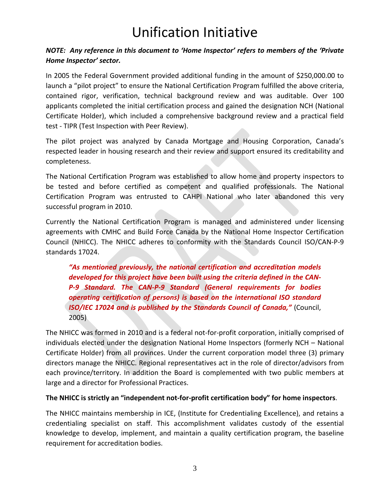#### *NOTE: Any reference in this document to 'Home Inspector' refers to members of the 'Private Home Inspector' sector.*

In 2005 the Federal Government provided additional funding in the amount of \$250,000.00 to launch a "pilot project" to ensure the National Certification Program fulfilled the above criteria, contained rigor, verification, technical background review and was auditable. Over 100 applicants completed the initial certification process and gained the designation NCH (National Certificate Holder), which included a comprehensive background review and a practical field test - TIPR (Test Inspection with Peer Review).

The pilot project was analyzed by Canada Mortgage and Housing Corporation, Canada's respected leader in housing research and their review and support ensured its creditability and completeness.

The National Certification Program was established to allow home and property inspectors to be tested and before certified as competent and qualified professionals. The National Certification Program was entrusted to CAHPI National who later abandoned this very successful program in 2010.

Currently the National Certification Program is managed and administered under licensing agreements with CMHC and Build Force Canada by the National Home Inspector Certification Council (NHICC). The NHICC adheres to conformity with the Standards Council ISO/CAN-P-9 standards 17024.

*"As mentioned previously, the national certification and accreditation models developed for this project have been built using the criteria defined in the CAN-P-9 Standard. The CAN-P-9 Standard (General requirements for bodies operating certification of persons) is based on the international ISO standard ISO/IEC 17024 and is published by the Standards Council of Canada,"* (Council, 2005)

The NHICC was formed in 2010 and is a federal not-for-profit corporation, initially comprised of individuals elected under the designation National Home Inspectors (formerly NCH – National Certificate Holder) from all provinces. Under the current corporation model three (3) primary directors manage the NHICC. Regional representatives act in the role of director/advisors from each province/territory. In addition the Board is complemented with two public members at large and a director for Professional Practices.

#### **The NHICC is strictly an "independent not-for-profit certification body" for home inspectors**.

The NHICC maintains membership in ICE, (Institute for Credentialing Excellence), and retains a credentialing specialist on staff. This accomplishment validates custody of the essential knowledge to develop, implement, and maintain a quality certification program, the baseline requirement for accreditation bodies.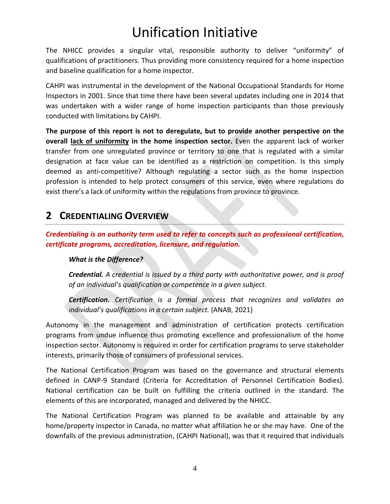The NHICC provides a singular vital, responsible authority to deliver "uniformity" of qualifications of practitioners. Thus providing more consistency required for a home inspection and baseline qualification for a home inspector.

CAHPI was instrumental in the development of the National Occupational Standards for Home Inspectors in 2001. Since that time there have been several updates including one in 2014 that was undertaken with a wider range of home inspection participants than those previously conducted with limitations by CAHPI.

**The purpose of this report is not to deregulate, but to provide another perspective on the overall lack of uniformity in the home inspection sector.** Even the apparent lack of worker transfer from one unregulated province or territory to one that is regulated with a similar designation at face value can be identified as a restriction on competition. Is this simply deemed as anti-competitive? Although regulating a sector such as the home inspection profession is intended to help protect consumers of this service, even where regulations do exist there's a lack of uniformity within the regulations from province to province.

### <span id="page-5-0"></span>**2 CREDENTIALING OVERVIEW**

*Credentialing is an authority term used to refer to concepts such as professional certification, certificate programs, accreditation, licensure, and regulation.*

#### *What is the Difference?*

*Credential. A credential is issued by a third party with authoritative power, and is proof of an individual's qualification or competence in a given subject.*

*Certification. Certification is a formal process that recognizes and validates an individual's qualifications in a certain subject.* (ANAB, 2021)

Autonomy in the management and administration of certification protects certification programs from undue influence thus promoting excellence and professionalism of the home inspection sector. Autonomy is required in order for certification programs to serve stakeholder interests, primarily those of consumers of professional services.

The National Certification Program was based on the governance and structural elements defined in CANP-9 Standard (Criteria for Accreditation of Personnel Certification Bodies). National certification can be built on fulfilling the criteria outlined in the standard. The elements of this are incorporated, managed and delivered by the NHICC.

The National Certification Program was planned to be available and attainable by any home/property inspector in Canada, no matter what affiliation he or she may have. One of the downfalls of the previous administration, (CAHPI National), was that it required that individuals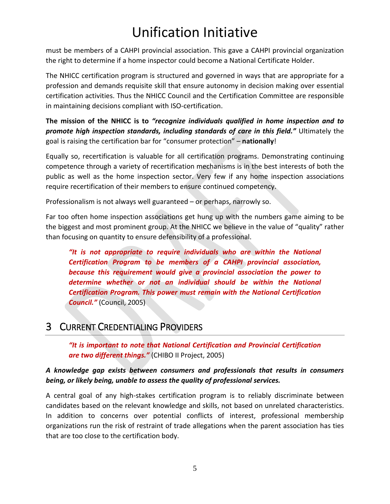must be members of a CAHPI provincial association. This gave a CAHPI provincial organization the right to determine if a home inspector could become a National Certificate Holder.

The NHICC certification program is structured and governed in ways that are appropriate for a profession and demands requisite skill that ensure autonomy in decision making over essential certification activities. Thus the NHICC Council and the Certification Committee are responsible in maintaining decisions compliant with ISO-certification.

**The mission of the NHICC is to** *"recognize individuals qualified in home inspection and to promote high inspection standards, including standards of care in this field."* Ultimately the goal is raising the certification bar for "consumer protection" – **nationally**!

Equally so, recertification is valuable for all certification programs. Demonstrating continuing competence through a variety of recertification mechanisms is in the best interests of both the public as well as the home inspection sector. Very few if any home inspection associations require recertification of their members to ensure continued competency.

Professionalism is not always well guaranteed – or perhaps, narrowly so.

Far too often home inspection associations get hung up with the numbers game aiming to be the biggest and most prominent group. At the NHICC we believe in the value of "quality" rather than focusing on quantity to ensure defensibility of a professional.

*"It is not appropriate to require individuals who are within the National Certification Program to be members of a CAHPI provincial association, because this requirement would give a provincial association the power to determine whether or not an individual should be within the National Certification Program. This power must remain with the National Certification Council."* (Council, 2005)

### <span id="page-6-0"></span>3 CURRENT CREDENTIALING PROVIDERS

*"It is important to note that National Certification and Provincial Certification are two different things."* (CHIBO II Project, 2005)

#### *A knowledge gap exists between consumers and professionals that results in consumers being, or likely being, unable to assess the quality of professional services.*

A central goal of any high-stakes certification program is to reliably discriminate between candidates based on the relevant knowledge and skills, not based on unrelated characteristics. In addition to concerns over potential conflicts of interest, professional membership organizations run the risk of restraint of trade allegations when the parent association has ties that are too close to the certification body.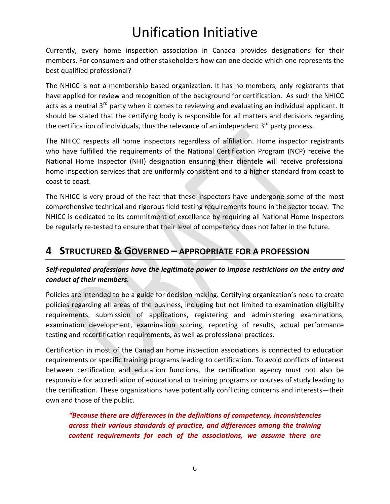Currently, every home inspection association in Canada provides designations for their members. For consumers and other stakeholders how can one decide which one represents the best qualified professional?

The NHICC is not a membership based organization. It has no members, only registrants that have applied for review and recognition of the background for certification. As such the NHICC acts as a neutral 3<sup>rd</sup> party when it comes to reviewing and evaluating an individual applicant. It should be stated that the certifying body is responsible for all matters and decisions regarding the certification of individuals, thus the relevance of an independent  $3<sup>rd</sup>$  party process.

The NHICC respects all home inspectors regardless of affiliation. Home inspector registrants who have fulfilled the requirements of the National Certification Program (NCP) receive the National Home Inspector (NHI) designation ensuring their clientele will receive professional home inspection services that are uniformly consistent and to a higher standard from coast to coast to coast.

The NHICC is very proud of the fact that these inspectors have undergone some of the most comprehensive technical and rigorous field testing requirements found in the sector today. The NHICC is dedicated to its commitment of excellence by requiring all National Home Inspectors be regularly re-tested to ensure that their level of competency does not falter in the future.

### <span id="page-7-0"></span>**4 STRUCTURED & GOVERNED – APPROPRIATE FOR A PROFESSION**

#### *Self-regulated professions have the legitimate power to impose restrictions on the entry and conduct of their members.*

Policies are intended to be a guide for decision making. Certifying organization's need to create policies regarding all areas of the business, including but not limited to examination eligibility requirements, submission of applications, registering and administering examinations, examination development, examination scoring, reporting of results, actual performance testing and recertification requirements, as well as professional practices.

Certification in most of the Canadian home inspection associations is connected to education requirements or specific training programs leading to certification. To avoid conflicts of interest between certification and education functions, the certification agency must not also be responsible for accreditation of educational or training programs or courses of study leading to the certification. These organizations have potentially conflicting concerns and interests—their own and those of the public.

*"Because there are differences in the definitions of competency, inconsistencies across their various standards of practice, and differences among the training content requirements for each of the associations, we assume there are*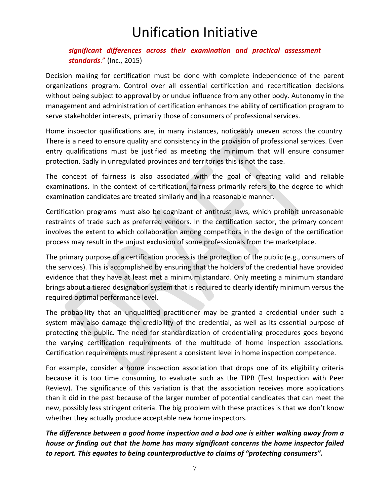#### *significant differences across their examination and practical assessment standards*." (Inc., 2015)

Decision making for certification must be done with complete independence of the parent organizations program. Control over all essential certification and recertification decisions without being subject to approval by or undue influence from any other body. Autonomy in the management and administration of certification enhances the ability of certification program to serve stakeholder interests, primarily those of consumers of professional services.

Home inspector qualifications are, in many instances, noticeably uneven across the country. There is a need to ensure quality and consistency in the provision of professional services. Even entry qualifications must be justified as meeting the minimum that will ensure consumer protection. Sadly in unregulated provinces and territories this is not the case.

The concept of fairness is also associated with the goal of creating valid and reliable examinations. In the context of certification, fairness primarily refers to the degree to which examination candidates are treated similarly and in a reasonable manner.

Certification programs must also be cognizant of antitrust laws, which prohibit unreasonable restraints of trade such as preferred vendors. In the certification sector, the primary concern involves the extent to which collaboration among competitors in the design of the certification process may result in the unjust exclusion of some professionals from the marketplace.

The primary purpose of a certification process is the protection of the public (e.g., consumers of the services). This is accomplished by ensuring that the holders of the credential have provided evidence that they have at least met a minimum standard. Only meeting a minimum standard brings about a tiered designation system that is required to clearly identify minimum versus the required optimal performance level.

The probability that an unqualified practitioner may be granted a credential under such a system may also damage the credibility of the credential, as well as its essential purpose of protecting the public. The need for standardization of credentialing procedures goes beyond the varying certification requirements of the multitude of home inspection associations. Certification requirements must represent a consistent level in home inspection competence.

For example, consider a home inspection association that drops one of its eligibility criteria because it is too time consuming to evaluate such as the TIPR (Test Inspection with Peer Review). The significance of this variation is that the association receives more applications than it did in the past because of the larger number of potential candidates that can meet the new, possibly less stringent criteria. The big problem with these practices is that we don't know whether they actually produce acceptable new home inspectors.

*The difference between a good home inspection and a bad one is either walking away from a house or finding out that the home has many significant concerns the home inspector failed to report. This equates to being counterproductive to claims of "protecting consumers".*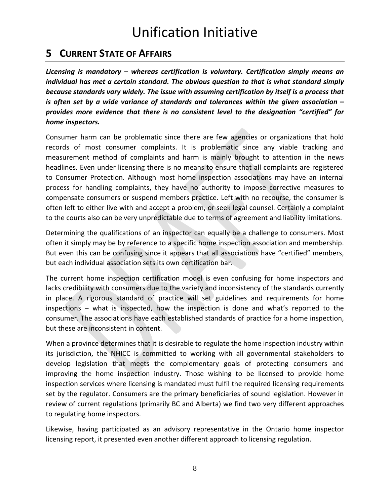### <span id="page-9-0"></span>**5 CURRENT STATE OF AFFAIRS**

*Licensing is mandatory – whereas certification is voluntary. Certification simply means an individual has met a certain standard. The obvious question to that is what standard simply because standards vary widely. The issue with assuming certification by itself is a process that is often set by a wide variance of standards and tolerances within the given association – provides more evidence that there is no consistent level to the designation "certified" for home inspectors.*

Consumer harm can be problematic since there are few agencies or organizations that hold records of most consumer complaints. It is problematic since any viable tracking and measurement method of complaints and harm is mainly brought to attention in the news headlines. Even under licensing there is no means to ensure that all complaints are registered to Consumer Protection. Although most home inspection associations may have an internal process for handling complaints, they have no authority to impose corrective measures to compensate consumers or suspend members practice. Left with no recourse, the consumer is often left to either live with and accept a problem, or seek legal counsel. Certainly a complaint to the courts also can be very unpredictable due to terms of agreement and liability limitations.

Determining the qualifications of an inspector can equally be a challenge to consumers. Most often it simply may be by reference to a specific home inspection association and membership. But even this can be confusing since it appears that all associations have "certified" members, but each individual association sets its own certification bar.

The current home inspection certification model is even confusing for home inspectors and lacks credibility with consumers due to the variety and inconsistency of the standards currently in place. A rigorous standard of practice will set guidelines and requirements for home inspections – what is inspected, how the inspection is done and what's reported to the consumer. The associations have each established standards of practice for a home inspection, but these are inconsistent in content.

When a province determines that it is desirable to regulate the home inspection industry within its jurisdiction, the NHICC is committed to working with all governmental stakeholders to develop legislation that meets the complementary goals of protecting consumers and improving the home inspection industry. Those wishing to be licensed to provide home inspection services where licensing is mandated must fulfil the required licensing requirements set by the regulator. Consumers are the primary beneficiaries of sound legislation. However in review of current regulations (primarily BC and Alberta) we find two very different approaches to regulating home inspectors.

Likewise, having participated as an advisory representative in the Ontario home inspector licensing report, it presented even another different approach to licensing regulation.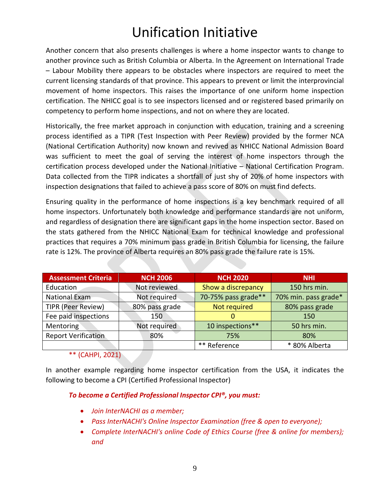Another concern that also presents challenges is where a home inspector wants to change to another province such as British Columbia or Alberta. In the Agreement on International Trade – Labour Mobility there appears to be obstacles where inspectors are required to meet the current licensing standards of that province. This appears to prevent or limit the interprovincial movement of home inspectors. This raises the importance of one uniform home inspection certification. The NHICC goal is to see inspectors licensed and or registered based primarily on competency to perform home inspections, and not on where they are located.

Historically, the free market approach in conjunction with education, training and a screening process identified as a TIPR (Test Inspection with Peer Review) provided by the former NCA (National Certification Authority) now known and revived as NHICC National Admission Board was sufficient to meet the goal of serving the interest of home inspectors through the certification process developed under the National Initiative – National Certification Program. Data collected from the TIPR indicates a shortfall of just shy of 20% of home inspectors with inspection designations that failed to achieve a pass score of 80% on must find defects.

Ensuring quality in the performance of home inspections is a key benchmark required of all home inspectors. Unfortunately both knowledge and performance standards are not uniform, and regardless of designation there are significant gaps in the home inspection sector. Based on the stats gathered from the NHICC National Exam for technical knowledge and professional practices that requires a 70% minimum pass grade in British Columbia for licensing, the failure rate is 12%. The province of Alberta requires an 80% pass grade the failure rate is 15%.

| <b>Assessment Criteria</b> | <b>NCH 2006</b> | <b>NCH 2020</b>     | <b>NHI</b>           |
|----------------------------|-----------------|---------------------|----------------------|
| Education                  | Not reviewed    | Show a discrepancy  | 150 hrs min.         |
| National Exam              | Not required    | 70-75% pass grade** | 70% min. pass grade* |
| <b>TIPR (Peer Review)</b>  | 80% pass grade  | Not required        | 80% pass grade       |
| Fee paid inspections       | 150             | $\Omega$            | 150                  |
| Mentoring                  | Not required    | 10 inspections**    | 50 hrs min.          |
| <b>Report Verification</b> | 80%             | 75%                 | 80%                  |
|                            |                 | ** Reference        | * 80% Alberta        |

\*\* (CAHPI, 2021)

In another example regarding home inspector certification from the USA, it indicates the following to become a CPI (Certified Professional Inspector)

#### *To become a Certified Professional Inspector CPI®, you must:*

- *Join InterNACHI as a member;*
- *Pass InterNACHI's Online Inspector Examination (free & open to everyone);*
- *Complete InterNACHI's online Code of Ethics Course (free & online for members); and*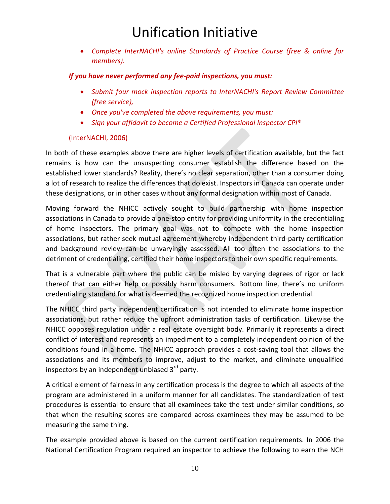• *Complete InterNACHI's online Standards of Practice Course (free & online for members).*

#### *If you have never performed any fee-paid inspections, you must:*

- *Submit four mock inspection reports to InterNACHI's Report Review Committee (free service),*
- *Once you've completed the above requirements, you must:*
- *Sign your affidavit to become a Certified Professional Inspector CPI®*

#### (InterNACHI, 2006)

In both of these examples above there are higher levels of certification available, but the fact remains is how can the unsuspecting consumer establish the difference based on the established lower standards? Reality, there's no clear separation, other than a consumer doing a lot of research to realize the differences that do exist. Inspectors in Canada can operate under these designations, or in other cases without any formal designation within most of Canada.

Moving forward the NHICC actively sought to build partnership with home inspection associations in Canada to provide a one-stop entity for providing uniformity in the credentialing of home inspectors. The primary goal was not to compete with the home inspection associations, but rather seek mutual agreement whereby independent third-party certification and background review can be unvaryingly assessed. All too often the associations to the detriment of credentialing, certified their home inspectors to their own specific requirements.

That is a vulnerable part where the public can be misled by varying degrees of rigor or lack thereof that can either help or possibly harm consumers. Bottom line, there's no uniform credentialing standard for what is deemed the recognized home inspection credential.

The NHICC third party independent certification is not intended to eliminate home inspection associations, but rather reduce the upfront administration tasks of certification. Likewise the NHICC opposes regulation under a real estate oversight body. Primarily it represents a direct conflict of interest and represents an impediment to a completely independent opinion of the conditions found in a home. The NHICC approach provides a cost-saving tool that allows the associations and its members to improve, adjust to the market, and eliminate unqualified inspectors by an independent unbiased 3<sup>rd</sup> party.

A critical element of fairness in any certification process is the degree to which all aspects of the program are administered in a uniform manner for all candidates. The standardization of test procedures is essential to ensure that all examinees take the test under similar conditions, so that when the resulting scores are compared across examinees they may be assumed to be measuring the same thing.

The example provided above is based on the current certification requirements. In 2006 the National Certification Program required an inspector to achieve the following to earn the NCH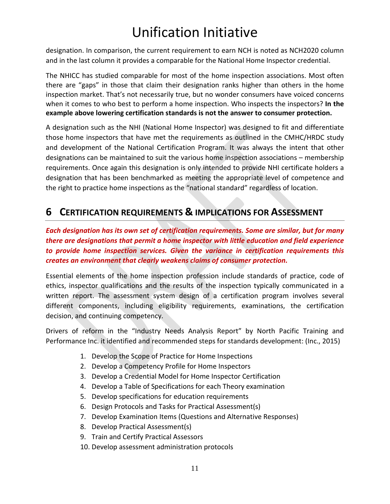designation. In comparison, the current requirement to earn NCH is noted as NCH2020 column and in the last column it provides a comparable for the National Home Inspector credential.

The NHICC has studied comparable for most of the home inspection associations. Most often there are "gaps" in those that claim their designation ranks higher than others in the home inspection market. That's not necessarily true, but no wonder consumers have voiced concerns when it comes to who best to perform a home inspection. Who inspects the inspectors? **In the example above lowering certification standards is not the answer to consumer protection.**

A designation such as the NHI (National Home Inspector) was designed to fit and differentiate those home inspectors that have met the requirements as outlined in the CMHC/HRDC study and development of the National Certification Program. It was always the intent that other designations can be maintained to suit the various home inspection associations – membership requirements. Once again this designation is only intended to provide NHI certificate holders a designation that has been benchmarked as meeting the appropriate level of competence and the right to practice home inspections as the "national standard" regardless of location.

### <span id="page-12-0"></span>**6 CERTIFICATION REQUIREMENTS & IMPLICATIONS FOR ASSESSMENT**

*Each designation has its own set of certification requirements. Some are similar, but for many there are designations that permit a home inspector with little education and field experience to provide home inspection services. Given the variance in certification requirements this creates an environment that clearly weakens claims of consumer protection.* 

Essential elements of the home inspection profession include standards of practice, code of ethics, inspector qualifications and the results of the inspection typically communicated in a written report. The assessment system design of a certification program involves several different components, including eligibility requirements, examinations, the certification decision, and continuing competency.

Drivers of reform in the "Industry Needs Analysis Report" by North Pacific Training and Performance Inc. it identified and recommended steps for standards development: (Inc., 2015)

- 1. Develop the Scope of Practice for Home Inspections
- 2. Develop a Competency Profile for Home Inspectors
- 3. Develop a Credential Model for Home Inspector Certification
- 4. Develop a Table of Specifications for each Theory examination
- 5. Develop specifications for education requirements
- 6. Design Protocols and Tasks for Practical Assessment(s)
- 7. Develop Examination Items (Questions and Alternative Responses)
- 8. Develop Practical Assessment(s)
- 9. Train and Certify Practical Assessors
- 10. Develop assessment administration protocols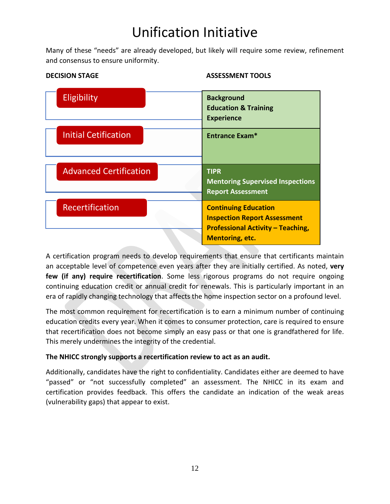Many of these "needs" are already developed, but likely will require some review, refinement and consensus to ensure uniformity.



#### **DECISION STAGE ASSESSMENT TOOLS**

A certification program needs to develop requirements that ensure that certificants maintain an acceptable level of competence even years after they are initially certified. As noted, **very few (if any) require recertification**. Some less rigorous programs do not require ongoing continuing education credit or annual credit for renewals. This is particularly important in an era of rapidly changing technology that affects the home inspection sector on a profound level.

The most common requirement for recertification is to earn a minimum number of continuing education credits every year. When it comes to consumer protection, care is required to ensure that recertification does not become simply an easy pass or that one is grandfathered for life. This merely undermines the integrity of the credential.

#### **The NHICC strongly supports a recertification review to act as an audit.**

Additionally, candidates have the right to confidentiality. Candidates either are deemed to have "passed" or "not successfully completed" an assessment. The NHICC in its exam and certification provides feedback. This offers the candidate an indication of the weak areas (vulnerability gaps) that appear to exist.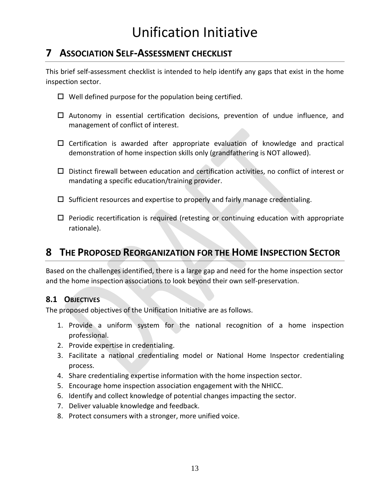### <span id="page-14-0"></span>**7 ASSOCIATION SELF-ASSESSMENT CHECKLIST**

This brief self-assessment checklist is intended to help identify any gaps that exist in the home inspection sector.

- $\Box$  Well defined purpose for the population being certified.
- $\Box$  Autonomy in essential certification decisions, prevention of undue influence, and management of conflict of interest.
- $\square$  Certification is awarded after appropriate evaluation of knowledge and practical demonstration of home inspection skills only (grandfathering is NOT allowed).
- $\Box$  Distinct firewall between education and certification activities, no conflict of interest or mandating a specific education/training provider.
- $\square$  Sufficient resources and expertise to properly and fairly manage credentialing.
- $\Box$  Periodic recertification is required (retesting or continuing education with appropriate rationale).

### <span id="page-14-1"></span>**8 THE PROPOSED REORGANIZATION FOR THE HOME INSPECTION SECTOR**

Based on the challenges identified, there is a large gap and need for the home inspection sector and the home inspection associations to look beyond their own self-preservation.

#### <span id="page-14-2"></span>**8.1 OBJECTIVES**

The proposed objectives of the Unification Initiative are as follows.

- 1. Provide a uniform system for the national recognition of a home inspection professional.
- 2. Provide expertise in credentialing.
- 3. Facilitate a national credentialing model or National Home Inspector credentialing process.
- 4. Share credentialing expertise information with the home inspection sector.
- 5. Encourage home inspection association engagement with the NHICC.
- 6. Identify and collect knowledge of potential changes impacting the sector.
- 7. Deliver valuable knowledge and feedback.
- 8. Protect consumers with a stronger, more unified voice.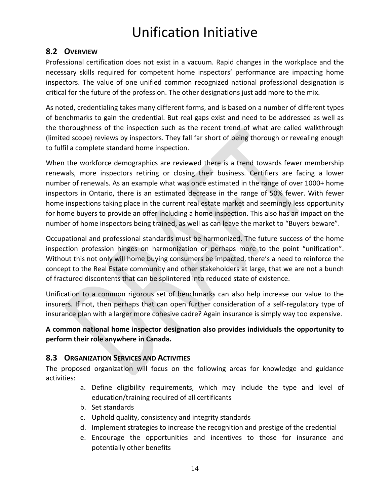#### <span id="page-15-0"></span>**8.2 OVERVIEW**

Professional certification does not exist in a vacuum. Rapid changes in the workplace and the necessary skills required for competent home inspectors' performance are impacting home inspectors. The value of one unified common recognized national professional designation is critical for the future of the profession. The other designations just add more to the mix.

As noted, credentialing takes many different forms, and is based on a number of different types of benchmarks to gain the credential. But real gaps exist and need to be addressed as well as the thoroughness of the inspection such as the recent trend of what are called walkthrough (limited scope) reviews by inspectors. They fall far short of being thorough or revealing enough to fulfil a complete standard home inspection.

When the workforce demographics are reviewed there is a trend towards fewer membership renewals, more inspectors retiring or closing their business. Certifiers are facing a lower number of renewals. As an example what was once estimated in the range of over 1000+ home inspectors in Ontario, there is an estimated decrease in the range of 50% fewer. With fewer home inspections taking place in the current real estate market and seemingly less opportunity for home buyers to provide an offer including a home inspection. This also has an impact on the number of home inspectors being trained, as well as can leave the market to "Buyers beware".

Occupational and professional standards must be harmonized. The future success of the home inspection profession hinges on harmonization or perhaps more to the point "unification". Without this not only will home buying consumers be impacted, there's a need to reinforce the concept to the Real Estate community and other stakeholders at large, that we are not a bunch of fractured discontents that can be splintered into reduced state of existence.

Unification to a common rigorous set of benchmarks can also help increase our value to the insurers. If not, then perhaps that can open further consideration of a self-regulatory type of insurance plan with a larger more cohesive cadre? Again insurance is simply way too expensive.

#### **A common national home inspector designation also provides individuals the opportunity to perform their role anywhere in Canada.**

#### <span id="page-15-1"></span>**8.3 ORGANIZATION SERVICES AND ACTIVITIES**

The proposed organization will focus on the following areas for knowledge and guidance activities:

- a. Define eligibility requirements, which may include the type and level of education/training required of all certificants
- b. Set standards
- c. Uphold quality, consistency and integrity standards
- d. Implement strategies to increase the recognition and prestige of the credential
- e. Encourage the opportunities and incentives to those for insurance and potentially other benefits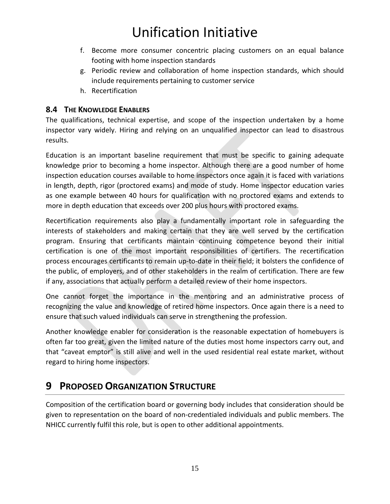- f. Become more consumer concentric placing customers on an equal balance footing with home inspection standards
- g. Periodic review and collaboration of home inspection standards, which should include requirements pertaining to customer service
- h. Recertification

#### <span id="page-16-0"></span>**8.4 THE KNOWLEDGE ENABLERS**

The qualifications, technical expertise, and scope of the inspection undertaken by a home inspector vary widely. Hiring and relying on an unqualified inspector can lead to disastrous results.

Education is an important baseline requirement that must be specific to gaining adequate knowledge prior to becoming a home inspector. Although there are a good number of home inspection education courses available to home inspectors once again it is faced with variations in length, depth, rigor (proctored exams) and mode of study. Home inspector education varies as one example between 40 hours for qualification with no proctored exams and extends to more in depth education that exceeds over 200 plus hours with proctored exams.

Recertification requirements also play a fundamentally important role in safeguarding the interests of stakeholders and making certain that they are well served by the certification program. Ensuring that certificants maintain continuing competence beyond their initial certification is one of the most important responsibilities of certifiers. The recertification process encourages certificants to remain up-to-date in their field; it bolsters the confidence of the public, of employers, and of other stakeholders in the realm of certification. There are few if any, associations that actually perform a detailed review of their home inspectors.

One cannot forget the importance in the mentoring and an administrative process of recognizing the value and knowledge of retired home inspectors. Once again there is a need to ensure that such valued individuals can serve in strengthening the profession.

Another knowledge enabler for consideration is the reasonable expectation of homebuyers is often far too great, given the limited nature of the duties most home inspectors carry out, and that "caveat emptor" is still alive and well in the used residential real estate market, without regard to hiring home inspectors.

### <span id="page-16-1"></span>**9 PROPOSED ORGANIZATION STRUCTURE**

Composition of the certification board or governing body includes that consideration should be given to representation on the board of non-credentialed individuals and public members. The NHICC currently fulfil this role, but is open to other additional appointments.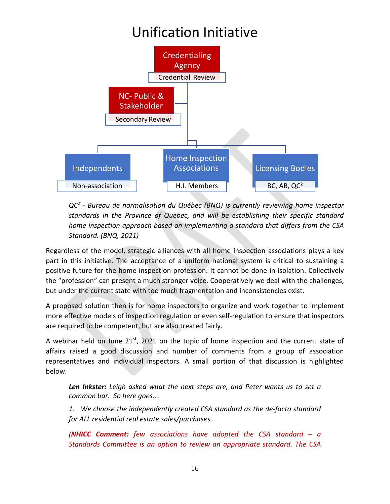

*QC² - Bureau de normalisation du Québec (BNQ) is currently reviewing home inspector standards in the Province of Quebec, and will be establishing their specific standard home inspection approach based on implementing a standard that differs from the CSA Standard. (BNQ, 2021)*

Regardless of the model, strategic alliances with all home inspection associations plays a key part in this initiative. The acceptance of a uniform national system is critical to sustaining a positive future for the home inspection profession. It cannot be done in isolation. Collectively the "profession" can present a much stronger voice. Cooperatively we deal with the challenges, but under the current state with too much fragmentation and inconsistencies exist.

A proposed solution then is for home inspectors to organize and work together to implement more effective models of inspection regulation or even self-regulation to ensure that inspectors are required to be competent, but are also treated fairly.

A webinar held on June  $21<sup>st</sup>$ , 2021 on the topic of home inspection and the current state of affairs raised a good discussion and number of comments from a group of association representatives and individual inspectors. A small portion of that discussion is highlighted below.

*Len Inkster: Leigh asked what the next steps are, and Peter wants us to set a common bar. So here goes....*

*1. We choose the independently created CSA standard as the de-facto standard for ALL residential real estate sales/purchases.*

*(NHICC Comment: few associations have adopted the CSA standard – a Standards Committee is an option to review an appropriate standard. The CSA*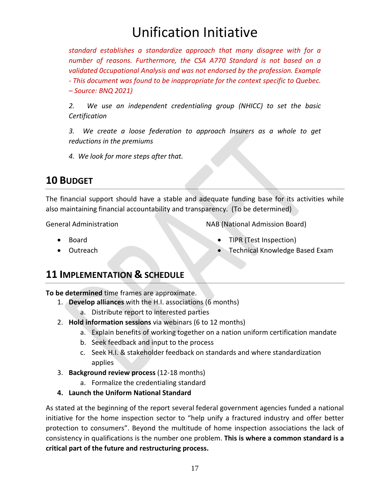*standard establishes a standardize approach that many disagree with for a number of reasons. Furthermore, the CSA A770 Standard is not based on a validated 0ccupational Analysis and was not endorsed by the profession. Example - This document was found to be inappropriate for the context specific to Quebec. – Source: BNQ 2021)*

*2. We use an independent credentialing group (NHICC) to set the basic Certification*

*3. We create a loose federation to approach Insurers as a whole to get reductions in the premiums*

*4. We look for more steps after that.*

### <span id="page-18-0"></span>**10 BUDGET**

The financial support should have a stable and adequate funding base for its activities while also maintaining financial accountability and transparency. (To be determined)

General Administration

- Board
- Outreach

NAB (National Admission Board)

- TIPR (Test Inspection)
- Technical Knowledge Based Exam

### <span id="page-18-1"></span>**11 IMPLEMENTATION & SCHEDULE**

**To be determined** time frames are approximate.

- 1. **Develop alliances** with the H.I. associations (6 months)
	- a. Distribute report to interested parties
- 2. **Hold information sessions** via webinars (6 to 12 months)
	- a. Explain benefits of working together on a nation uniform certification mandate
	- b. Seek feedback and input to the process
	- c. Seek H.I. & stakeholder feedback on standards and where standardization applies
- 3. **Background review process** (12-18 months)
	- a. Formalize the credentialing standard
- **4. Launch the Uniform National Standard**

As stated at the beginning of the report several federal government agencies funded a national initiative for the home inspection sector to "help unify a fractured industry and offer better protection to consumers". Beyond the multitude of home inspection associations the lack of consistency in qualifications is the number one problem. **This is where a common standard is a critical part of the future and restructuring process.**